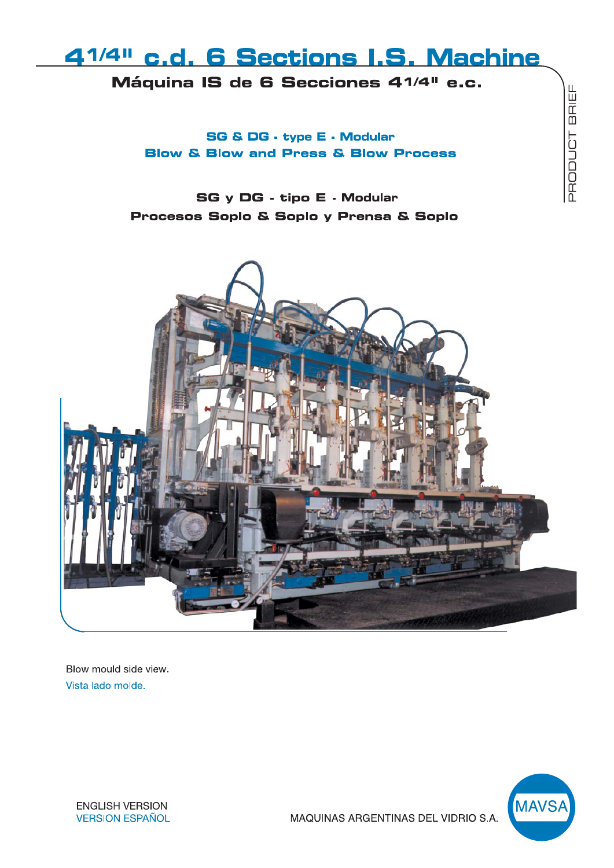# 41/4" c.d. 6 Sections I.S. Machine

Máquina IS de 6 Secciones 41/4" e.c.

SG & DG - type E - Modular **Blow & Blow and Press & Blow Process** 

**SG y DG - tipo E - Modular** Procesos Soplo & Soplo y Prensa & Soplo



Blow mould side view. Vista lado molde.



PRODUCT BRIEF

**ENGLISH VERSION VERSION ESPAÑOL** 

MAQUINAS ARGENTINAS DEL VIDRIO S.A.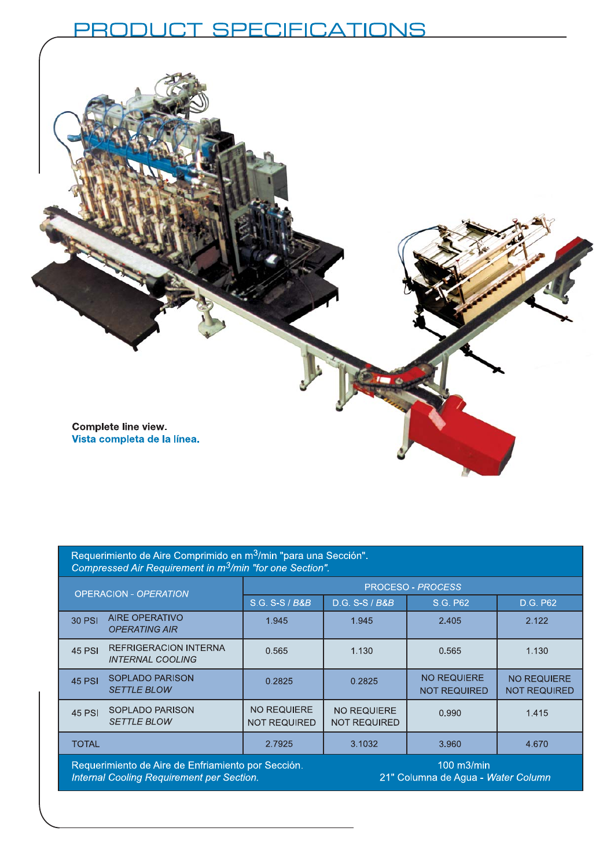## RODUCT SPECIFICATIONS ЭĮ



| Requerimiento de Aire Comprimido en m <sup>3</sup> /min "para una Sección".<br>Compressed Air Requirement in m <sup>3</sup> /min "for one Section". |                                                  |                                           |                                           |                                                        |                                           |
|-----------------------------------------------------------------------------------------------------------------------------------------------------|--------------------------------------------------|-------------------------------------------|-------------------------------------------|--------------------------------------------------------|-------------------------------------------|
| <b>OPERACION - OPERATION</b>                                                                                                                        |                                                  | <b>PROCESO - PROCESS</b>                  |                                           |                                                        |                                           |
|                                                                                                                                                     |                                                  | S.G. S-S / B&B                            | D.G. S-S / B&B                            | S.G. P62                                               | D.G. P62                                  |
| 30 PSI                                                                                                                                              | <b>AIRE OPERATIVO</b><br><b>OPERATING AIR</b>    | 1.945                                     | 1.945                                     | 2.405                                                  | 2.122                                     |
| <b>45 PSI</b>                                                                                                                                       | REFRIGERACION INTERNA<br><b>INTERNAL COOLING</b> | 0.565                                     | 1.130                                     | 0.565                                                  | 1.130                                     |
| <b>45 PSI</b>                                                                                                                                       | <b>SOPLADO PARISON</b><br><b>SETTLE BLOW</b>     | 0.2825                                    | 0.2825                                    | <b>NO REQUIERE</b><br><b>NOT REQUIRED</b>              | <b>NO REQUIERE</b><br><b>NOT REQUIRED</b> |
| 45 PSI                                                                                                                                              | <b>SOPLADO PARISON</b><br><b>SETTLE BLOW</b>     | <b>NO REQUIERE</b><br><b>NOT REQUIRED</b> | <b>NO REQUIERE</b><br><b>NOT REQUIRED</b> | 0.990                                                  | 1.415                                     |
| <b>TOTAL</b>                                                                                                                                        |                                                  | 2.7925                                    | 3.1032                                    | 3.960                                                  | 4.670                                     |
| Requerimiento de Aire de Enfriamiento por Sección.<br>Internal Cooling Requirement per Section.                                                     |                                                  |                                           |                                           | $100$ m $3$ /min<br>21" Columna de Agua - Water Column |                                           |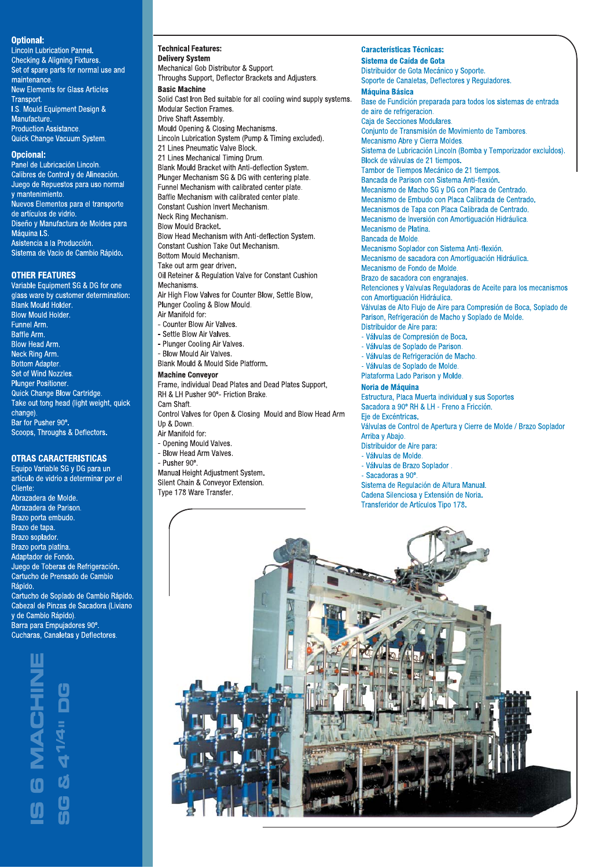### **Optional:**

Lincoln Lubrication Pannel. Checking & Aligning Fixtures. Set of spare parts for normal use and maintenance. **New Elements for Glass Articles** Transport. I.S. Mould Equipment Design & Manufacture. Production Assistance. Quick Change Vacuum System.

## Opcional:

Panel de Lubricación Lincoln. Calibres de Control y de Alineación. Juego de Repuestos para uso normal y mantenimiento. Nuevos Elementos para el transporte de artículos de vidrio. Diseño y Manufactura de Moldes para Máquina I.S. Asistencia a la Producción. Sistema de Vacio de Cambio Rápido.

#### **OTHER FEATURES**

Variable Equipment SG & DG for one glass ware by customer determination: Blank Mould Holder **Blow Mould Holder.** Funnel Arm. Baffle Arm. **Blow Head Arm.** Neck Ring Arm.<br>Bottom Adapter. Set of Wind Nozzles. Plunger Positioner. Quick Change Blow Cartridge. Take out tong head (light weight, quick change). Bar for Pusher 90°. Scoops, Throughs & Deflectors.

## **OTRAS CARACTERISTICAS**

Equipo Variable SG y DG para un artículo de vidrio a determinar por el Cliente: Abrazadera de Molde. Abrazadera de Parison. Brazo porta embudo. Brazo de tapa. Brazo soplador. Brazo porta platina. Adaptador de Fondo. Juego de Toberas de Refrigeración. Cartucho de Prensado de Cambio Rápido. Cartucho de Soplado de Cambio Rápido. Cabezal de Pinzas de Sacadora (Liviano y de Cambio Rápido).

Barra para Empujadores 90°. Cucharas, Canaletas y Deflectores.



#### **Technical Features:**

**Delivery System** Mechanical Gob Distributor & Support. Throughs Support, Deflector Brackets and Adjusters. **Basic Machine** Solid Cast Iron Bed suitable for all cooling wind supply systems. Modular Section Frames. Drive Shaft Assembly. Mould Opening & Closing Mechanisms. Lincoln Lubrication System (Pump & Timing excluded). 21 Lines Pneumatic Valve Block. 21 Lines Mechanical Timing Drum. Blank Mould Bracket with Anti-deflection System. Plunger Mechanism SG & DG with centering plate. Funnel Mechanism with calibrated center plate. Baffle Mechanism with calibrated center plate. Constant Cushion Invert Mechanism. Neck Ring Mechanism. **Blow Mould Bracket** Blow Head Mechanism with Anti-deflection System. Constant Cushion Take Out Mechanism. Bottom Mould Mechanism. Take out arm gear driven. Oil Reteiner & Regulation Valve for Constant Cushion Mechanisms. Air High Flow Valves for Counter Blow, Settle Blow, Plunger Cooling & Blow Mould. Air Manifold for: - Counter Blow Air Valves. - Settle Blow Air Valves. - Plunger Cooling Air Valves. - Blow Mould Air Valves Blank Mould & Mould Side Platform.

**Machine Conveyor** 

#### Frame, individual Dead Plates and Dead Plates Support, RH & LH Pusher 90°- Friction Brake. Cam Shaft

Control Valves for Open & Closing Mould and Blow Head Arm Up & Down.

- Air Manifold for:
- Opening Mould Valves
- Blow Head Arm Valves.
- Pusher 90°.

Manual Height Adjustment System, Silent Chain & Conveyor Extension. Type 178 Ware Transfer.

**Características Técnicas:** 

Sistema de Caída de Gota Distribuidor de Gota Mecánico y Soporte. Soporte de Canaletas, Deflectores y Reguladores. **Máquina Básica** Base de Fundición preparada para todos los sistemas de entrada de aire de refrigeracion. Caia de Secciones Modulares. Conjunto de Transmisión de Movimiento de Tambores. Mecanismo Abre y Cierra Moldes. Sistema de Lubricación Lincoln (Bomba y Temporizador excluidos). Block de válvulas de 21 tiempos. Tambor de Tiempos Mecánico de 21 tiempos. Bancada de Parison con Sistema Anti-flexión. Mecanismo de Macho SG y DG con Placa de Centrado. Mecanismo de Embudo con Placa Calibrada de Centrado. Mecanismos de Tapa con Placa Calibrada de Centrado. Mecanismo de Inversión con Amortiguación Hidráulica. Mecanismo de Platina. Bancada de Molde. Mecanismo Soplador con Sistema Anti-flexión. Mecanismo de sacadora con Amortiquación Hidráulica. Mecanismo de Fondo de Molde. Brazo de sacadora con engranajes. Retenciones y Valvulas Reguladoras de Aceite para los mecanismos con Amortiguación Hidráulica. Válvulas de Alto Flujo de Aire para Compresión de Boca, Soplado de Parison, Refrigeración de Macho y Soplado de Molde. Distribuidor de Aire para: - Válvulas de Compresión de Boca. - Válvulas de Soplado de Parison. - Válvulas de Refrigeración de Macho. - Válvulas de Soplado de Molde. Plataforma Lado Parison y Molde.

#### Noria de Máquina

Estructura, Placa Muerta individual y sus Soportes Sacadora a 90° RH & LH - Freno a Fricción. Eje de Excéntricas Válvulas de Control de Apertura y Cierre de Molde / Brazo Soplador Arriba y Abajo. Distribuidor de Aire para:

- Válvulas de Molde.

- 
- Válvulas de Brazo Soplador.
- Sacadoras a 90°.

Sistema de Regulación de Altura Manual. Cadena Silenciosa y Extensión de Noria. Transferidor de Artículos Tipo 178.